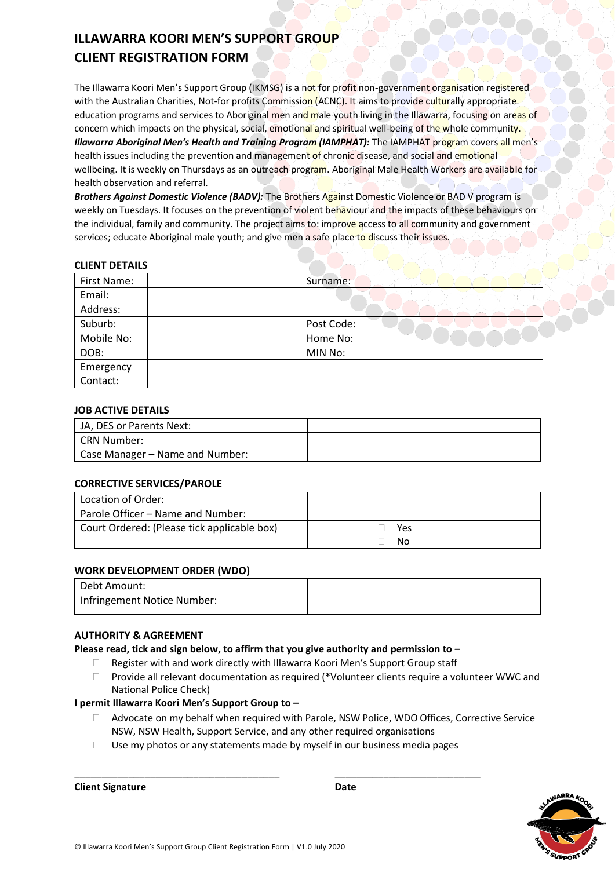# **ILLAWARRA KOORI MEN'S SUPPORT GROUP CLIENT REGISTRATION FORM**

The Illawarra Koori Men's Support Group (IKMSG) is a not for profit non-government organisation registered with the Australian Charities, Not-for profits Commission (ACNC). It aims to provide culturally appropriate education programs and services to Aboriginal men and male youth living in the Illawarra, focusing on areas of concern which impacts on the physical, social, emotional and spiritual well-being of the whole community. *Illawarra Aboriginal Men's Health and Training Program (IAMPHAT):* The IAMPHAT program covers all men's health issues including the prevention and management of chronic disease, and social and emotional wellbeing. It is weekly on Thursdays as an outreach program. Aboriginal Male Health Workers are available for health observation and referral.

*Brothers Against Domestic Violence (BADV):* The Brothers Against Domestic Violence or BAD V program is weekly on Tuesdays. It focuses on the prevention of violent behaviour and the impacts of these behaviours on the individual, family and community. The project aims to: improve access to all community and government services; educate Aboriginal male youth; and give men a safe place to discuss their issues.

### **CLIENT DETAILS**

| First Name: | Surname:   |
|-------------|------------|
| Email:      |            |
| Address:    |            |
| Suburb:     | Post Code: |
| Mobile No:  | Home No:   |
| DOB:        | MIN No:    |
| Emergency   |            |
| Contact:    |            |

### **JOB ACTIVE DETAILS**

| JA, DES or Parents Next:        |  |
|---------------------------------|--|
| CRN Number:                     |  |
| Case Manager – Name and Number: |  |

### **CORRECTIVE SERVICES/PAROLE**

| Location of Order:                          |     |
|---------------------------------------------|-----|
| Parole Officer – Name and Number:           |     |
| Court Ordered: (Please tick applicable box) | Yes |
|                                             | No  |

#### **WORK DEVELOPMENT ORDER (WDO)**

| Debt Amount:                |  |
|-----------------------------|--|
| Infringement Notice Number: |  |

### **AUTHORITY & AGREEMENT**

**Please read, tick and sign below, to affirm that you give authority and permission to –**

- $\Box$  Register with and work directly with Illawarra Koori Men's Support Group staff
- $\Box$  Provide all relevant documentation as required (\*Volunteer clients require a volunteer WWC and National Police Check)

### **I permit Illawarra Koori Men's Support Group to –**

- Advocate on my behalf when required with Parole, NSW Police, WDO Offices, Corrective Service NSW, NSW Health, Support Service, and any other required organisations
- $\Box$  Use my photos or any statements made by myself in our business media pages

\_\_\_\_\_\_\_\_\_\_\_\_\_\_\_\_\_\_\_\_\_\_\_\_\_\_\_\_\_\_\_\_\_\_\_\_\_\_ \_\_\_\_\_\_\_\_\_\_\_\_\_\_\_\_\_\_\_\_\_\_\_\_\_\_\_

**Client Signature Date**